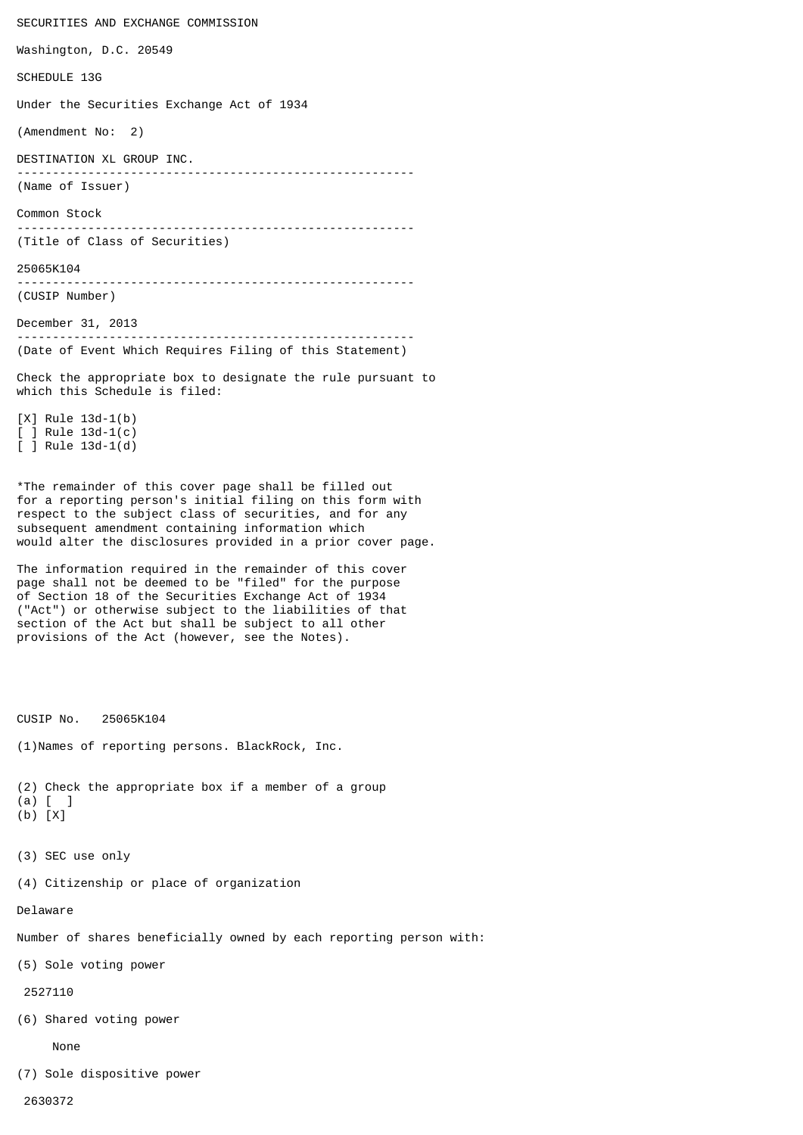SECURITIES AND EXCHANGE COMMISSION Washington, D.C. 20549 SCHEDULE 13G Under the Securities Exchange Act of 1934 (Amendment No: 2) DESTINATION XL GROUP INC. -------------------------------------------------------- (Name of Issuer) Common Stock -------------------------------------------------------- (Title of Class of Securities) 25065K104 -------------------------------------------------------- (CUSIP Number) December 31, 2013 -------------------------------------------------------- (Date of Event Which Requires Filing of this Statement) Check the appropriate box to designate the rule pursuant to which this Schedule is filed: [X] Rule 13d-1(b) [ ] Rule 13d-1(c) [ ] Rule 13d-1(d)

\*The remainder of this cover page shall be filled out for a reporting person's initial filing on this form with respect to the subject class of securities, and for any subsequent amendment containing information which would alter the disclosures provided in a prior cover page.

The information required in the remainder of this cover page shall not be deemed to be "filed" for the purpose of Section 18 of the Securities Exchange Act of 1934 ("Act") or otherwise subject to the liabilities of that section of the Act but shall be subject to all other provisions of the Act (however, see the Notes).

CUSIP No. 25065K104

(1)Names of reporting persons. BlackRock, Inc.

(2) Check the appropriate box if a member of a group (a) [ ]

- (b) [X]
- (3) SEC use only

(4) Citizenship or place of organization

Delaware

Number of shares beneficially owned by each reporting person with:

(5) Sole voting power

2527110

(6) Shared voting power

None

(7) Sole dispositive power

2630372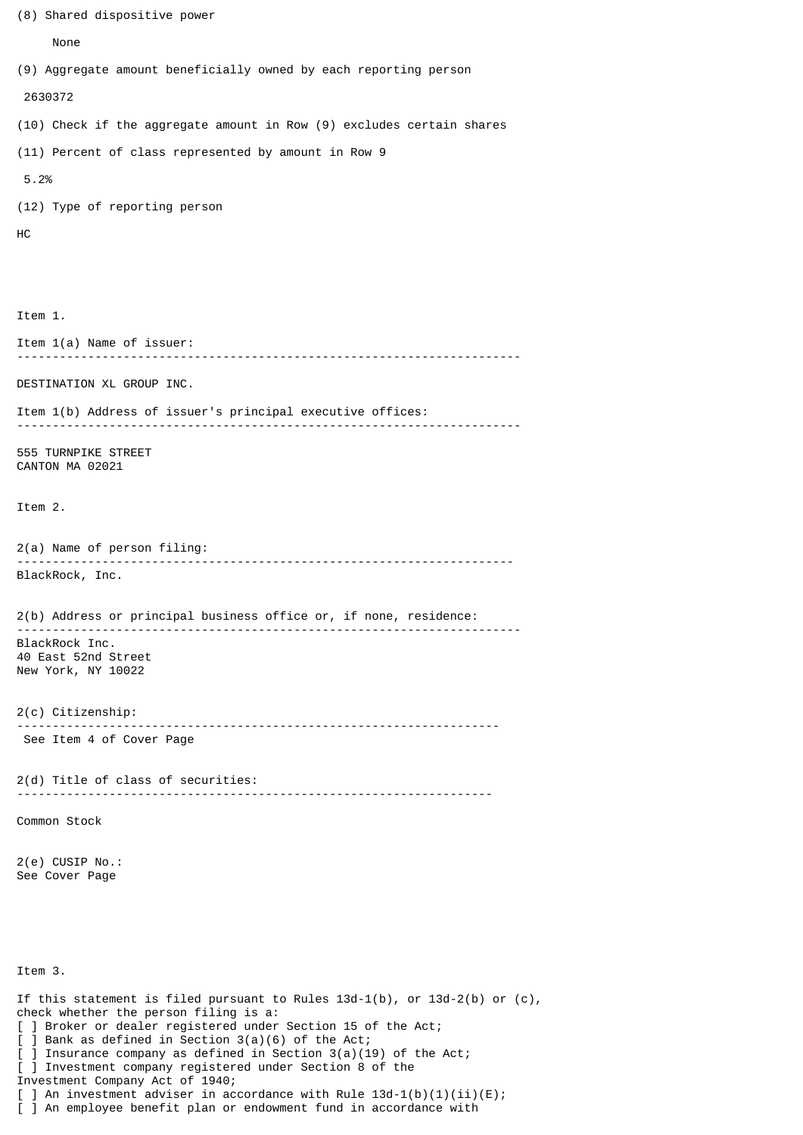```
(8) Shared dispositive power
      None
(9) Aggregate amount beneficially owned by each reporting person
  2630372
(10) Check if the aggregate amount in Row (9) excludes certain shares
(11) Percent of class represented by amount in Row 9
 5.2%
(12) Type of reporting person
HC
Item 1.
Item 1(a) Name of issuer:
      -----------------------------------------------------------------------
DESTINATION XL GROUP INC.
Item 1(b) Address of issuer's principal executive offices:
-----------------------------------------------------------------------
555 TURNPIKE STREET
CANTON MA 02021
Item 2.
2(a) Name of person filing:
                           ----------------------------------------------------------------------
BlackRock, Inc.
2(b) Address or principal business office or, if none, residence:
-----------------------------------------------------------------------
BlackRock Inc.
40 East 52nd Street
New York, NY 10022
2(c) Citizenship:
                         --------------------------------------------------------------------
 See Item 4 of Cover Page
2(d) Title of class of securities:
                                       -------------------------------------------------------------------
Common Stock
2(e) CUSIP No.:
See Cover Page
Item 3.
If this statement is filed pursuant to Rules 13d-1(b), or 13d-2(b) or (c),
check whether the person filing is a:
[ ] Broker or dealer registered under Section 15 of the Act;
[ ] Bank as defined in Section 3(a)(6) of the Act;
[ ] Insurance company as defined in Section 3(a)(19) of the Act;
[ ] Investment company registered under Section 8 of the
Investment Company Act of 1940;
[ ] An investment adviser in accordance with Rule 13d-1(b)(1)(ii)(E);
[ ] An employee benefit plan or endowment fund in accordance with
```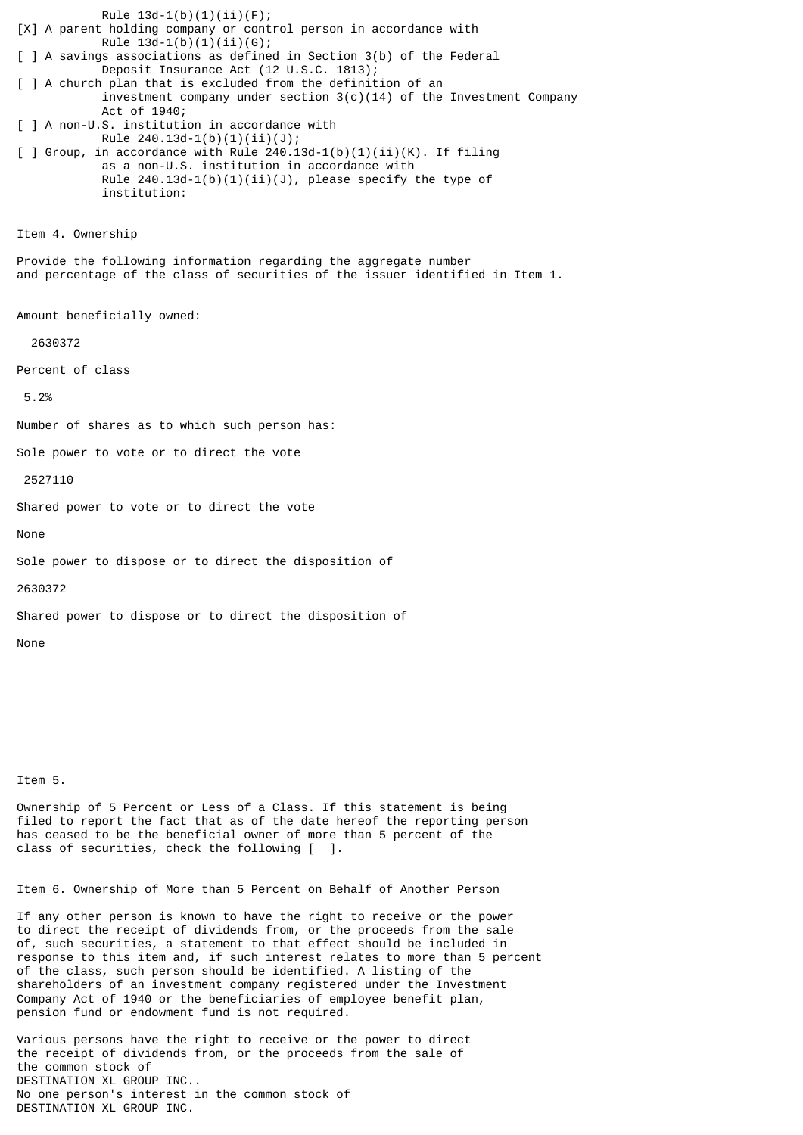Rule  $13d-1(b)(1)(ii)(F);$ [X] A parent holding company or control person in accordance with Rule  $13d-1(b)(1)(ii)(G);$ [ ] A savings associations as defined in Section 3(b) of the Federal Deposit Insurance Act (12 U.S.C. 1813); [ ] A church plan that is excluded from the definition of an investment company under section  $3(c)(14)$  of the Investment Company Act of 1940; [ ] A non-U.S. institution in accordance with Rule  $240.13d-1(b)(1)(ii)(J);$ [ ] Group, in accordance with Rule  $240.13d-1(b)(1)(ii)(K)$ . If filing as a non-U.S. institution in accordance with Rule  $240.13d-1(b)(1)(ii)(J)$ , please specify the type of institution: Item 4. Ownership Provide the following information regarding the aggregate number and percentage of the class of securities of the issuer identified in Item 1. Amount beneficially owned: 2630372 Percent of class 5.2% Number of shares as to which such person has: Sole power to vote or to direct the vote 2527110 Shared power to vote or to direct the vote None Sole power to dispose or to direct the disposition of 2630372 Shared power to dispose or to direct the disposition of

Item 5.

None

Ownership of 5 Percent or Less of a Class. If this statement is being filed to report the fact that as of the date hereof the reporting person has ceased to be the beneficial owner of more than 5 percent of the class of securities, check the following [ ].

Item 6. Ownership of More than 5 Percent on Behalf of Another Person

If any other person is known to have the right to receive or the power to direct the receipt of dividends from, or the proceeds from the sale of, such securities, a statement to that effect should be included in response to this item and, if such interest relates to more than 5 percent of the class, such person should be identified. A listing of the shareholders of an investment company registered under the Investment Company Act of 1940 or the beneficiaries of employee benefit plan, pension fund or endowment fund is not required.

Various persons have the right to receive or the power to direct the receipt of dividends from, or the proceeds from the sale of the common stock of DESTINATION XL GROUP INC.. No one person's interest in the common stock of DESTINATION XL GROUP INC.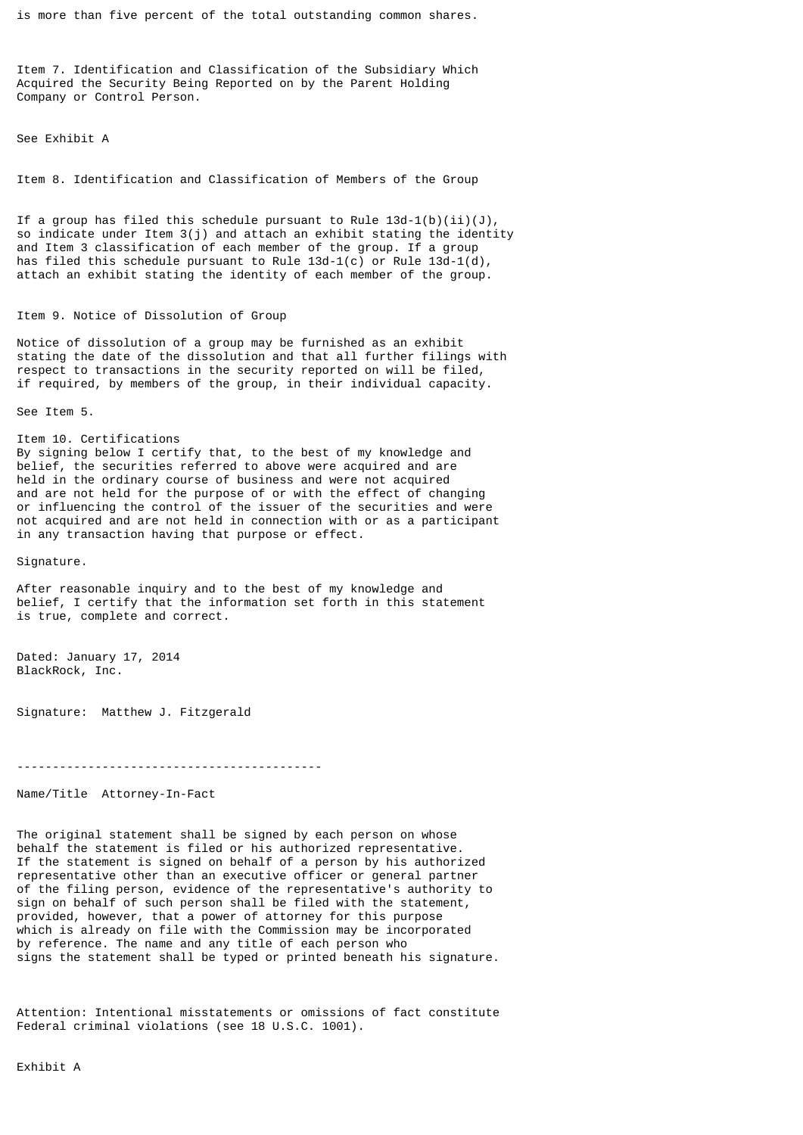is more than five percent of the total outstanding common shares.

Item 7. Identification and Classification of the Subsidiary Which Acquired the Security Being Reported on by the Parent Holding Company or Control Person.

See Exhibit A

Item 8. Identification and Classification of Members of the Group

If a group has filed this schedule pursuant to Rule  $13d-1(b)(ii)(J)$ , so indicate under Item 3(j) and attach an exhibit stating the identity and Item 3 classification of each member of the group. If a group has filed this schedule pursuant to Rule 13d-1(c) or Rule 13d-1(d), attach an exhibit stating the identity of each member of the group.

## Item 9. Notice of Dissolution of Group

Notice of dissolution of a group may be furnished as an exhibit stating the date of the dissolution and that all further filings with respect to transactions in the security reported on will be filed, if required, by members of the group, in their individual capacity.

See Item 5.

Item 10. Certifications By signing below I certify that, to the best of my knowledge and belief, the securities referred to above were acquired and are held in the ordinary course of business and were not acquired and are not held for the purpose of or with the effect of changing or influencing the control of the issuer of the securities and were not acquired and are not held in connection with or as a participant in any transaction having that purpose or effect.

Signature.

After reasonable inquiry and to the best of my knowledge and belief, I certify that the information set forth in this statement is true, complete and correct.

Dated: January 17, 2014 BlackRock, Inc.

Signature: Matthew J. Fitzgerald

-------------------------------------------

Name/Title Attorney-In-Fact

The original statement shall be signed by each person on whose behalf the statement is filed or his authorized representative. If the statement is signed on behalf of a person by his authorized representative other than an executive officer or general partner of the filing person, evidence of the representative's authority to sign on behalf of such person shall be filed with the statement, provided, however, that a power of attorney for this purpose which is already on file with the Commission may be incorporated by reference. The name and any title of each person who signs the statement shall be typed or printed beneath his signature.

Attention: Intentional misstatements or omissions of fact constitute Federal criminal violations (see 18 U.S.C. 1001).

Exhibit A